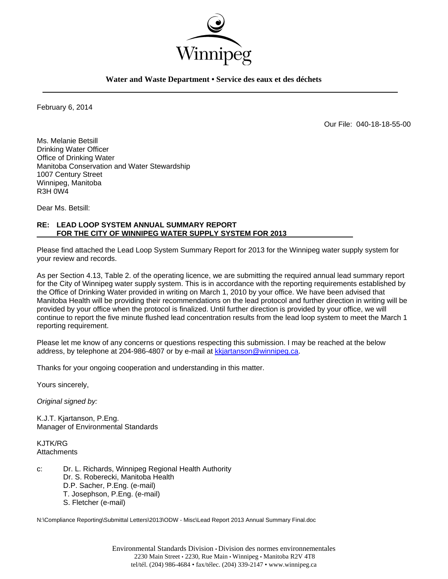

**Water and Waste Department • Service des eaux et des déchets** 

February 6, 2014

Our File: 040-18-18-55-00

Ms. Melanie Betsill Drinking Water Officer Office of Drinking Water Manitoba Conservation and Water Stewardship 1007 Century Street Winnipeg, Manitoba R3H 0W4

Dear Ms. Betsill:

## **RE: LEAD LOOP SYSTEM ANNUAL SUMMARY REPORT FOR THE CITY OF WINNIPEG WATER SUPPLY SYSTEM FOR 2013**

Please find attached the Lead Loop System Summary Report for 2013 for the Winnipeg water supply system for your review and records.

As per Section 4.13, Table 2. of the operating licence, we are submitting the required annual lead summary report for the City of Winnipeg water supply system. This is in accordance with the reporting requirements established by the Office of Drinking Water provided in writing on March 1, 2010 by your office. We have been advised that Manitoba Health will be providing their recommendations on the lead protocol and further direction in writing will be provided by your office when the protocol is finalized. Until further direction is provided by your office, we will continue to report the five minute flushed lead concentration results from the lead loop system to meet the March 1 reporting requirement.

Please let me know of any concerns or questions respecting this submission. I may be reached at the below address, by telephone at 204-986-4807 or by e-mail at kkjartanson@winnipeg.ca.

Thanks for your ongoing cooperation and understanding in this matter.

Yours sincerely,

*Original signed by:* 

K.J.T. Kjartanson, P.Eng. Manager of Environmental Standards

KJTK/RG **Attachments** 

c: Dr. L. Richards, Winnipeg Regional Health Authority Dr. S. Roberecki, Manitoba Health D.P. Sacher, P.Eng. (e-mail) T. Josephson, P.Eng. (e-mail) S. Fletcher (e-mail)

N:\Compliance Reporting\Submittal Letters\2013\ODW - Misc\Lead Report 2013 Annual Summary Final.doc